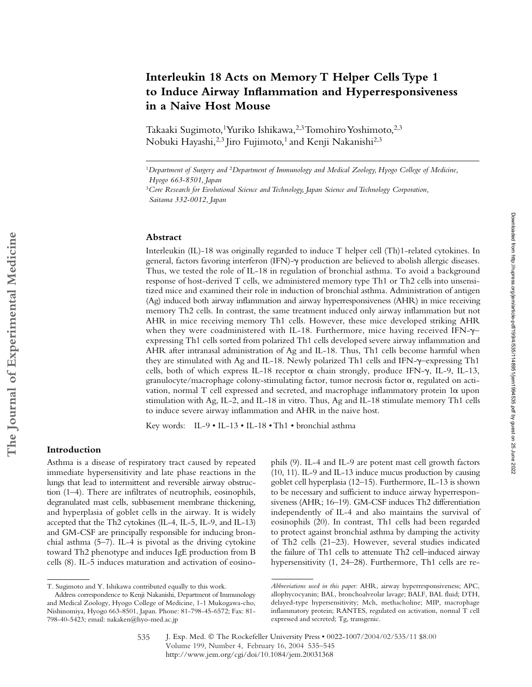# **Interleukin 18 Acts on Memory T Helper Cells Type 1 to Induce Airway Inflammation and Hyperresponsiveness in a Naive Host Mouse**

Takaaki Sugimoto,<sup>1</sup> Yuriko Ishikawa,<sup>2,3</sup> Tomohiro Yoshimoto,<sup>2,3</sup> Nobuki Hayashi,<sup>2,3</sup> Jiro Fujimoto,<sup>1</sup> and Kenji Nakanishi<sup>2,3</sup>

### **Abstract**

Interleukin (IL)-18 was originally regarded to induce T helper cell (Th)1-related cytokines. In general, factors favoring interferon (IFN)- $\gamma$  production are believed to abolish allergic diseases. Thus, we tested the role of IL-18 in regulation of bronchial asthma. To avoid a background response of host-derived T cells, we administered memory type Th1 or Th2 cells into unsensitized mice and examined their role in induction of bronchial asthma. Administration of antigen (Ag) induced both airway inflammation and airway hyperresponsiveness (AHR) in mice receiving memory Th2 cells. In contrast, the same treatment induced only airway inflammation but not AHR in mice receiving memory Th1 cells. However, these mice developed striking AHR when they were coadministered with IL-18. Furthermore, mice having received IFN- $\gamma$ expressing Th1 cells sorted from polarized Th1 cells developed severe airway inflammation and AHR after intranasal administration of Ag and IL-18. Thus, Th1 cells become harmful when they are stimulated with Ag and IL-18. Newly polarized Th1 cells and IFN- $\gamma$ -expressing Th1 cells, both of which express IL-18 receptor  $\alpha$  chain strongly, produce IFN- $\gamma$ , IL-9, IL-13, granulocyte/macrophage colony-stimulating factor, tumor necrosis factor  $\alpha$ , regulated on activation, normal T cell expressed and secreted, and macrophage inflammatory protein  $1\alpha$  upon stimulation with Ag, IL-2, and IL-18 in vitro. Thus, Ag and IL-18 stimulate memory Th1 cells to induce severe airway inflammation and AHR in the naive host.

Key words: IL-9 • IL-13 • IL-18 • Th1 • bronchial asthma

## **Introduction**

Asthma is a disease of respiratory tract caused by repeated immediate hypersensitivity and late phase reactions in the lungs that lead to intermittent and reversible airway obstruction (1–4). There are infiltrates of neutrophils, eosinophils, degranulated mast cells, subbasement membrane thickening, and hyperplasia of goblet cells in the airway. It is widely accepted that the Th2 cytokines (IL-4, IL-5, IL-9, and IL-13) and GM-CSF are principally responsible for inducing bronchial asthma (5–7). IL-4 is pivotal as the driving cytokine toward Th2 phenotype and induces IgE production from B cells (8). IL-5 induces maturation and activation of eosino-

phils (9). IL-4 and IL-9 are potent mast cell growth factors (10, 11). IL-9 and IL-13 induce mucus production by causing goblet cell hyperplasia (12–15). Furthermore, IL-13 is shown to be necessary and sufficient to induce airway hyperresponsiveness (AHR; 16–19). GM-CSF induces Th2 differentiation independently of IL-4 and also maintains the survival of eosinophils (20). In contrast, Th1 cells had been regarded to protect against bronchial asthma by damping the activity of Th2 cells (21–23). However, several studies indicated the failure of Th1 cells to attenuate Th2 cell–induced airway hypersensitivity (1, 24–28). Furthermore, Th1 cells are re-

<sup>1</sup>*Department of Surgery and* <sup>2</sup>*Department of Immunology and Medical Zoology, Hyogo College of Medicine, Hyogo 663-8501, Japan*

<sup>3</sup>*Core Research for Evolutional Science and Technology, Japan Science and Technology Corporation, Saitama 332-0012, Japan*

T. Sugimoto and Y. Ishikawa contributed equally to this work.

Address correspondence to Kenji Nakanishi, Department of Immunology and Medical Zoology, Hyogo College of Medicine, 1-1 Mukogawa-cho, Nishinomiya, Hyogo 663-8501, Japan. Phone: 81-798-45-6572; Fax: 81- 798-40-5423; email: nakaken@hyo-med.ac.jp

*Abbreviations used in this paper:* AHR, airway hyperresponsiveness; APC, allophycocyanin; BAL, bronchoalveolar lavage; BALF, BAL fluid; DTH, delayed-type hypersensitivity; Mch, methacholine; MIP, macrophage inflammatory protein; RANTES, regulated on activation, normal T cell expressed and secreted; Tg, transgenic.

J. Exp. Med. © The Rockefeller University Press • 0022-1007/2004/02/535/11 \$8.00 Volume 199, Number 4, February 16, 2004 535–545 http://www.jem.org/cgi/doi/10.1084/jem.20031368 535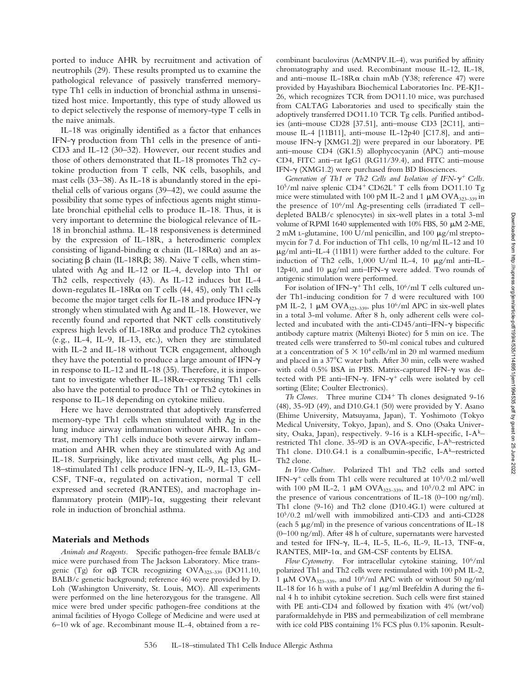ported to induce AHR by recruitment and activation of neutrophils (29). These results prompted us to examine the pathological relevance of passively transferred memorytype Th1 cells in induction of bronchial asthma in unsensitized host mice. Importantly, this type of study allowed us to depict selectively the response of memory-type T cells in the naive animals.

IL-18 was originally identified as a factor that enhances IFN- $\gamma$  production from Th1 cells in the presence of anti-CD3 and IL-12 (30–32). However, our recent studies and those of others demonstrated that IL-18 promotes Th2 cytokine production from T cells, NK cells, basophils, and mast cells (33–38). As IL-18 is abundantly stored in the epithelial cells of various organs (39–42), we could assume the possibility that some types of infectious agents might stimulate bronchial epithelial cells to produce IL-18. Thus, it is very important to determine the biological relevance of IL-18 in bronchial asthma. IL-18 responsiveness is determined by the expression of IL-18R, a heterodimeric complex consisting of ligand-binding  $\alpha$  chain (IL-18R $\alpha$ ) and an associating  $\beta$  chain (IL-18R $\beta$ ; 38). Naive T cells, when stimulated with Ag and IL-12 or IL-4, develop into Th1 or Th2 cells, respectively (43). As IL-12 induces but IL-4 down-regulates IL-18R $\alpha$  on T cells (44, 45), only Th1 cells become the major target cells for IL-18 and produce IFN- $\gamma$ strongly when stimulated with Ag and IL-18. However, we recently found and reported that NKT cells constitutively express high levels of IL-18R $\alpha$  and produce Th2 cytokines (e.g., IL-4, IL-9, IL-13, etc.), when they are stimulated with IL-2 and IL-18 without TCR engagement, although they have the potential to produce a large amount of IFN- $\gamma$ in response to IL-12 and IL-18 (35). Therefore, it is important to investigate whether IL-18R $\alpha$ –expressing Th1 cells also have the potential to produce Th1 or Th2 cytokines in response to IL-18 depending on cytokine milieu.

Here we have demonstrated that adoptively transferred memory-type Th1 cells when stimulated with Ag in the lung induce airway inflammation without AHR. In contrast, memory Th1 cells induce both severe airway inflammation and AHR when they are stimulated with Ag and IL-18. Surprisingly, like activated mast cells, Ag plus IL-18-stimulated Th1 cells produce IFN-γ, IL-9, IL-13, GM-CSF, TNF- $\alpha$ , regulated on activation, normal T cell expressed and secreted (RANTES), and macrophage inflammatory protein (MIP)-1 $\alpha$ , suggesting their relevant role in induction of bronchial asthma.

#### **Materials and Methods**

*Animals and Reagents.* Specific pathogen-free female BALB/c mice were purchased from The Jackson Laboratory. Mice transgenic (Tg) for  $\alpha\beta$  TCR recognizing OVA<sub>323-339</sub> (DO11.10, BALB/c genetic background; reference 46) were provided by D. Loh (Washington University, St. Louis, MO). All experiments were performed on the line heterozygous for the transgene. All mice were bred under specific pathogen-free conditions at the animal facilities of Hyogo College of Medicine and were used at 6–10 wk of age. Recombinant mouse IL-4, obtained from a re-

combinant baculovirus (AcMNPV.IL-4), was purified by affinity chromatography and used. Recombinant mouse IL-12, IL-18, and anti-mouse IL-18R $\alpha$  chain mAb (Y38; reference 47) were provided by Hayashibara Biochemical Laboratories Inc. PE-KJ1- 26, which recognizes TCR from DO11.10 mice, was purchased from CALTAG Laboratories and used to specifically stain the adoptively transferred DO11.10 TCR Tg cells. Purified antibodies (anti–mouse CD28 [37.51], anti–mouse CD3 [2C11], anti– mouse IL-4 [11B11], anti–mouse IL-12p40 [C17.8], and anti– mouse IFN- $\gamma$  [XMG1.2]) were prepared in our laboratory. PE anti–mouse CD4 (GK1.5) allophycocyanin (APC) anti–mouse CD4, FITC anti–rat IgG1 (RG11/39.4), and FITC anti–mouse IFN- $\gamma$  (XMG1.2) were purchased from BD Biosciences.

Generation of Th1 or Th2 Cells and Isolation of IFN- $\gamma^+$  Cells.  $10^5$ /ml naive splenic CD4<sup>+</sup> CD62L<sup>+</sup> T cells from DO11.10 Tg mice were stimulated with 100 pM IL-2 and 1  $\mu$ M OVA<sub>323-339</sub> in the presence of  $10^6$ /ml Ag-presenting cells (irradiated T celldepleted BALB/c splenocytes) in six-well plates in a total 3-ml volume of RPMI 1640 supplemented with 10% FBS, 50  $\mu$ M 2-ME, 2 mM L-glutamine, 100 U/ml penicillin, and 100  $\mu$ g/ml streptomycin for 7 d. For induction of Th1 cells, 10 ng/ml IL-12 and 10  $\mu$ g/ml anti–IL-4 (11B11) were further added to the culture. For induction of Th2 cells,  $1,000$  U/ml IL-4,  $10 \mu g/ml$  anti-IL-12p40, and 10  $\mu$ g/ml anti-IFN- $\gamma$  were added. Two rounds of antigenic stimulation were performed.

For isolation of IFN- $\gamma$ <sup>+</sup> Th1 cells, 10<sup>6</sup>/ml T cells cultured under Th1-inducing condition for 7 d were recultured with 100 pM IL-2, 1  $\mu$ M OVA<sub>323-339</sub>, plus 10<sup>6</sup>/ml APC in six-well plates in a total 3-ml volume. After 8 h, only adherent cells were collected and incubated with the anti-CD45/anti-IFN- $\gamma$  bispecific antibody capture matrix (Miltenyi Biotec) for 5 min on ice. The treated cells were transferred to 50-ml conical tubes and cultured at a concentration of  $5 \times 10^4$  cells/ml in 20 ml warmed medium and placed in a 37°C water bath. After 30 min, cells were washed with cold 0.5% BSA in PBS. Matrix-captured IFN- $\gamma$  was detected with PE anti-IFN- $\gamma$ . IFN- $\gamma^+$  cells were isolated by cell sorting (Elite; Coulter Electronics).

*Th Clones.* Three murine CD4<sup>+</sup> Th clones designated 9-16 (48), 35-9D (49), and D10.G4.1 (50) were provided by Y. Asano (Ehime University, Matsuyama, Japan), T. Yoshimoto (Tokyo Medical University, Tokyo, Japan), and S. Ono (Osaka University, Osaka, Japan), respectively. 9-16 is a KLH-specific, I-A<sup>k</sup>restricted Th1 clone. 35-9D is an OVA-specific, I-Ab–restricted Th1 clone. D10.G4.1 is a conalbumin-specific, I-A<sup>k</sup>-restricted Th2 clone.

*In Vitro Culture.* Polarized Th1 and Th2 cells and sorted IFN- $\gamma^+$  cells from Th1 cells were recultured at 10<sup>5</sup>/0.2 ml/well with 100 pM IL-2, 1  $\mu$ M OVA<sub>323-339</sub>, and 10<sup>5</sup>/0.2 ml APC in the presence of various concentrations of IL-18 (0-100 ng/ml). Th1 clone (9-16) and Th2 clone (D10.4G.1) were cultured at 105/0.2 ml/well with immobilized anti-CD3 and anti-CD28 (each 5  $\mu$ g/ml) in the presence of various concentrations of IL-18 (0–100 ng/ml). After 48 h of culture, supernatants were harvested and tested for IFN- $\gamma$ , IL-4, IL-5, IL-6, IL-9, IL-13, TNF- $\alpha$ , RANTES, MIP-1 $\alpha$ , and GM-CSF contents by ELISA.

*Flow Cytometry.* For intracellular cytokine staining, 106/ml polarized Th1 and Th2 cells were restimulated with 100 pM IL-2, 1  $\mu$ M OVA<sub>323-339</sub>, and 10<sup>6</sup>/ml APC with or without 50 ng/ml IL-18 for 16 h with a pulse of 1  $\mu$ g/ml Brefeldin A during the final 4 h to inhibit cytokine secretion. Such cells were first stained with PE anti-CD4 and followed by fixation with 4% (wt/vol) paraformaldehyde in PBS and permeabilization of cell membrane with ice cold PBS containing 1% FCS plus 0.1% saponin. Result-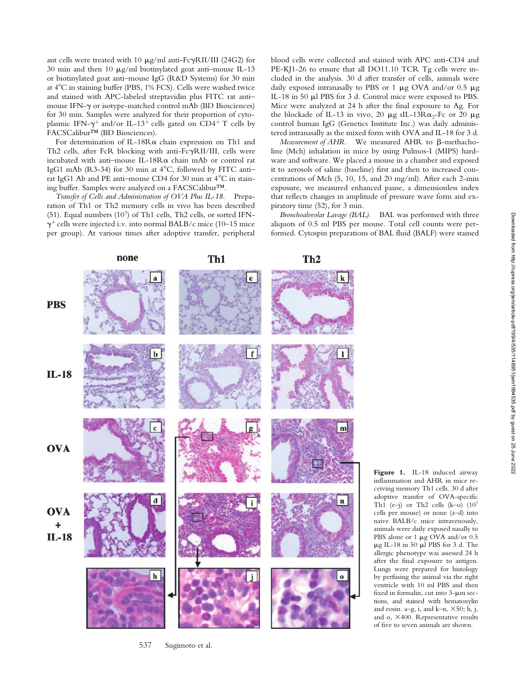ant cells were treated with  $10 \text{ }\mu\text{g/ml}$  anti-Fc $\gamma\text{RI/III}$  (24G2) for 30 min and then 10  $\mu$ g/ml biotinylated goat anti-mouse IL-13 or biotinylated goat anti–mouse IgG (R&D Systems) for 30 min at 4C in staining buffer (PBS, 1% FCS). Cells were washed twice and stained with APC-labeled streptavidin plus FITC rat anti– mouse IFN- $\gamma$  or isotype-matched control mAb (BD Biosciences) for 30 min. Samples were analyzed for their proportion of cytoplasmic IFN- $\gamma^+$  and/or IL-13<sup>+</sup> cells gated on CD4<sup>+</sup> T cells by FACSCalibur™ (BD Biosciences).

For determination of IL-18R $\alpha$  chain expression on Th1 and Th2 cells, after FcR blocking with anti-FcyRII/III, cells were incubated with anti-mouse IL-18R $\alpha$  chain mAb or control rat IgG1 mAb (R3-34) for 30 min at  $4^{\circ}$ C, followed by FITC antirat IgG1 Ab and PE anti-mouse CD4 for 30 min at  $4^{\circ}$ C in staining buffer. Samples were analyzed on a FACSCalibur™.

*Transfer of Cells and Administration of OVA Plus IL-18.* Preparation of Th1 or Th2 memory cells in vivo has been described (51). Equal numbers (107) of Th1 cells, Th2 cells, or sorted IFN-  $\gamma^+$  cells were injected i.v. into normal BALB/c mice (10–15 mice per group). At various times after adoptive transfer, peripheral

blood cells were collected and stained with APC anti-CD4 and PE-KJ1-26 to ensure that all DO11.10 TCR Tg cells were included in the analysis. 30 d after transfer of cells, animals were daily exposed intranasally to PBS or 1  $\mu$ g OVA and/or 0.5  $\mu$ g IL-18 in 50 µl PBS for 3 d. Control mice were exposed to PBS. Mice were analyzed at 24 h after the final exposure to Ag. For the blockade of IL-13 in vivo, 20  $\mu$ g sIL-13R $\alpha$ <sub>2</sub>-Fc or 20  $\mu$ g control human IgG (Genetics Institute Inc.) was daily administered intranasally as the mixed form with OVA and IL-18 for 3 d.

 $M$ easurement of  $A$ HR. We measured  $A$ HR to  $\beta$ -methacholine (Mch) inhalation in mice by using Pulmos-I (MIPS) hardware and software. We placed a mouse in a chamber and exposed it to aerosols of saline (baseline) first and then to increased concentrations of Mch (5, 10, 15, and 20 mg/ml). After each 2-min exposure, we measured enhanced pause, a dimensionless index that reflects changes in amplitude of pressure wave form and expiratory time (52), for 3 min.

*Bronchoalveolar Lavage (BAL).* BAL was performed with three aliquots of 0.5 ml PBS per mouse. Total cell counts were performed. Cytospin preparations of BAL fluid (BALF) were stained



inflammation and AHR in mice receiving memory Th1 cells. 30 d after adoptive transfer of OVA-specific Th1 (e-j) or Th2 cells  $(k-0)$   $(10^7)$ cells per mouse) or none (a–d) into naive BALB/c mice intravenously, animals were daily exposed nasally to PBS alone or 1  $\mu$ g OVA and/or 0.5  $\mu$ g IL-18 in 50  $\mu$ l PBS for 3 d. The allergic phenotype was assessed 24 h after the final exposure to antigen. Lungs were prepared for histology by perfusing the animal via the right ventricle with 10 ml PBS and then fixed in formalin, cut into  $3-\mu m$  sections, and stained with hematoxylin and eosin. a-g, i, and k-n,  $\times$ 50; h, j, and  $o$ ,  $\times$ 400. Representative results of five to seven animals are shown.

**Figure 1.** IL-18 induced airway

537 Sugimoto et al.

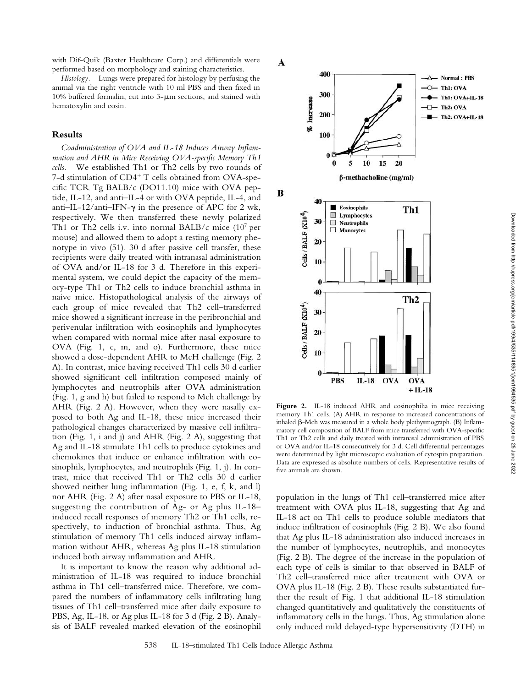with Dif-Quik (Baxter Healthcare Corp.) and differentials were performed based on morphology and staining characteristics.

*Histology.* Lungs were prepared for histology by perfusing the animal via the right ventricle with 10 ml PBS and then fixed in 10% buffered formalin, cut into  $3$ - $\mu$ m sections, and stained with hematoxylin and eosin.

# **Results**

*Coadministration of OVA and IL-18 Induces Airway Inflammation and AHR in Mice Receiving OVA-specific Memory Th1 cells.* We established Th1 or Th2 cells by two rounds of 7-d stimulation of CD4<sup>+</sup> T cells obtained from OVA-specific TCR Tg BALB/c (DO11.10) mice with OVA peptide, IL-12, and anti–IL-4 or with OVA peptide, IL-4, and anti-IL-12/anti-IFN- $\gamma$  in the presence of APC for 2 wk, respectively. We then transferred these newly polarized Th1 or Th2 cells i.v. into normal BALB/c mice  $(10^7 \text{ per})$ mouse) and allowed them to adopt a resting memory phenotype in vivo (51). 30 d after passive cell transfer, these recipients were daily treated with intranasal administration of OVA and/or IL-18 for 3 d. Therefore in this experimental system, we could depict the capacity of the memory-type Th1 or Th2 cells to induce bronchial asthma in naive mice. Histopathological analysis of the airways of each group of mice revealed that Th2 cell–transferred mice showed a significant increase in the peribronchial and perivenular infiltration with eosinophils and lymphocytes when compared with normal mice after nasal exposure to OVA (Fig. 1, c, m, and o). Furthermore, these mice showed a dose-dependent AHR to McH challenge (Fig. 2 A). In contrast, mice having received Th1 cells 30 d earlier showed significant cell infiltration composed mainly of lymphocytes and neutrophils after OVA administration (Fig. 1, g and h) but failed to respond to Mch challenge by AHR (Fig. 2 A). However, when they were nasally exposed to both Ag and IL-18, these mice increased their pathological changes characterized by massive cell infiltration (Fig. 1, i and j) and AHR (Fig. 2 A), suggesting that Ag and IL-18 stimulate Th1 cells to produce cytokines and chemokines that induce or enhance infiltration with eosinophils, lymphocytes, and neutrophils (Fig. 1, j). In contrast, mice that received Th1 or Th2 cells 30 d earlier showed neither lung inflammation (Fig. 1, e, f, k, and l) nor AHR (Fig. 2 A) after nasal exposure to PBS or IL-18, suggesting the contribution of Ag- or Ag plus IL-18– induced recall responses of memory Th2 or Th1 cells, respectively, to induction of bronchial asthma. Thus, Ag stimulation of memory Th1 cells induced airway inflammation without AHR, whereas Ag plus IL-18 stimulation induced both airway inflammation and AHR.

It is important to know the reason why additional administration of IL-18 was required to induce bronchial asthma in Th1 cell–transferred mice. Therefore, we compared the numbers of inflammatory cells infiltrating lung tissues of Th1 cell–transferred mice after daily exposure to PBS, Ag, IL-18, or Ag plus IL-18 for 3 d (Fig. 2 B). Analysis of BALF revealed marked elevation of the eosinophil



Figure 2. IL-18 induced AHR and eosinophilia in mice receiving memory Th1 cells. (A) AHR in response to increased concentrations of inhaled  $\beta$ -Mch was measured in a whole body plethysmograph. (B) Inflammatory cell composition of BALF from mice transferred with OVA-specific Th1 or Th2 cells and daily treated with intranasal administration of PBS or OVA and/or IL-18 consecutively for 3 d. Cell differential percentages were determined by light microscopic evaluation of cytospin preparation. Data are expressed as absolute numbers of cells. Representative results of five animals are shown.

population in the lungs of Th1 cell–transferred mice after treatment with OVA plus IL-18, suggesting that Ag and IL-18 act on Th1 cells to produce soluble mediators that induce infiltration of eosinophils (Fig. 2 B). We also found that Ag plus IL-18 administration also induced increases in the number of lymphocytes, neutrophils, and monocytes (Fig. 2 B). The degree of the increase in the population of each type of cells is similar to that observed in BALF of Th2 cell–transferred mice after treatment with OVA or OVA plus IL-18 (Fig. 2 B). These results substantiated further the result of Fig. 1 that additional IL-18 stimulation changed quantitatively and qualitatively the constituents of inflammatory cells in the lungs. Thus, Ag stimulation alone only induced mild delayed-type hypersensitivity (DTH) in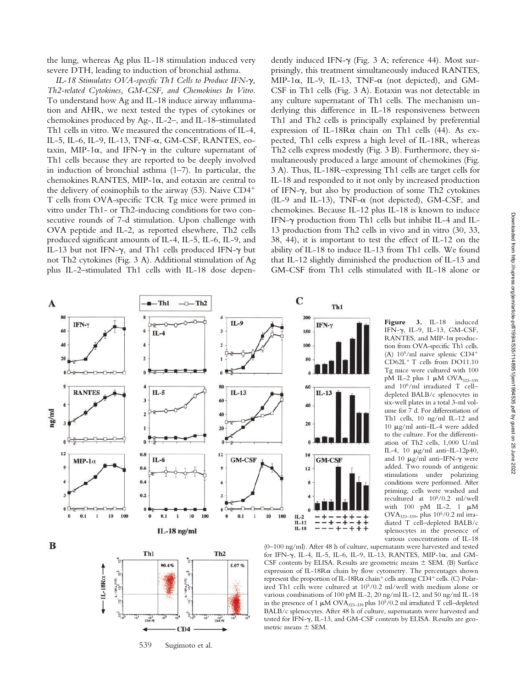*IL-18 Stimulates OVA-specific Th1 Cells to Produce IFN-γ*, *Th2-related Cytokines, GM-CSF, and Chemokines In Vitro.* To understand how Ag and IL-18 induce airway inflammation and AHR, we next tested the types of cytokines or chemokines produced by Ag-, IL-2–, and IL-18–stimulated Th1 cells in vitro. We measured the concentrations of IL-4, IL-5, IL-6, IL-9, IL-13, TNF- $\alpha$ , GM-CSF, RANTES, eotaxin, MIP-1 $\alpha$ , and IFN- $\gamma$  in the culture supernatant of Th1 cells because they are reported to be deeply involved in induction of bronchial asthma (1–7). In particular, the chemokines RANTES, MIP-1 $\alpha$ , and eotaxin are central to the delivery of eosinophils to the airway (53). Naive CD4 T cells from OVA-specific TCR Tg mice were primed in vitro under Th1- or Th2-inducing conditions for two consecutive rounds of 7-d stimulation. Upon challenge with OVA peptide and IL-2, as reported elsewhere, Th2 cells produced significant amounts of IL-4, IL-5, IL-6, IL-9, and IL-13 but not IFN- $\gamma$ , and Th1 cells produced IFN- $\gamma$  but not Th2 cytokines (Fig. 3 A). Additional stimulation of Ag plus IL-2–stimulated Th1 cells with IL-18 dose depen-

dently induced IFN- $\gamma$  (Fig. 3 A; reference 44). Most surprisingly, this treatment simultaneously induced RANTES, MIP-1 $\alpha$ , IL-9, IL-13, TNF- $\alpha$  (not depicted), and GM-CSF in Th1 cells (Fig. 3 A). Eotaxin was not detectable in any culture supernatant of Th1 cells. The mechanism underlying this difference in IL-18 responsiveness between Th1 and Th2 cells is principally explained by preferential expression of IL-18R $\alpha$  chain on Th1 cells (44). As expected, Th1 cells express a high level of IL-18R, whereas Th2 cells express modestly (Fig. 3 B). Furthermore, they simultaneously produced a large amount of chemokines (Fig. 3 A). Thus, IL-18R–expressing Th1 cells are target cells for IL-18 and responded to it not only by increased production of IFN- $\gamma$ , but also by production of some Th2 cytokines (IL-9 and IL-13), TNF- $\alpha$  (not depicted), GM-CSF, and chemokines. Because IL-12 plus IL-18 is known to induce IFN-y production from Th1 cells but inhibit IL-4 and IL-13 production from Th2 cells in vivo and in vitro (30, 33, 38, 44), it is important to test the effect of IL-12 on the ability of IL-18 to induce IL-13 from Th1 cells. We found that IL-12 slightly diminished the production of IL-13 and GM-CSF from Th1 cells stimulated with IL-18 alone or



Figure 3. IL-18 induced IFN-γ, IL-9, IL-13, GM-CSF, RANTES, and MIP-1 $\alpha$  production from OVA-specific Th1 cells. (A)  $10^5$ /ml naive splenic CD4<sup>+</sup>  $CD62L<sup>+</sup>$  T cells from DO11.10 Tg mice were cultured with 100 pM IL-2 plus 1  $\mu$ M OVA<sub>323-339</sub> and 106/ml irradiated T cell– depleted BALB/c splenocytes in six-well plates in a total 3-ml volume for 7 d. For differentiation of Th1 cells, 10 ng/ml IL-12 and  $10 \mu$ g/ml anti-IL-4 were added to the culture. For the differentiation of Th2 cells, 1,000 U/ml IL-4, 10  $\mu$ g/ml anti-IL-12p40, and 10  $\mu$ g/ml anti–IFN- $\gamma$  were added. Two rounds of antigenic stimulations under polarizing conditions were performed. After priming, cells were washed and recultured at 105/0.2 ml/well with  $100$  pM IL-2, 1  $\mu$ M OVA323–339, plus 105/0.2 ml irradiated T cell–depleted BALB/c splenocytes in the presence of various concentrations of IL-18



(0–100 ng/ml). After 48 h of culture, supernatants were harvested and tested for IFN-γ, IL-4, IL-5, IL-6, IL-9, IL-13, RANTES, MIP-1α, and GM-CSF contents by ELISA. Results are geometric means  $\pm$  SEM. (B) Surface expression of IL-18R $\alpha$  chain by flow cytometry. The percentages shown represent the proportion of IL-18R $\alpha$  chain<sup>+</sup> cells among CD4<sup>+</sup> cells. (C) Polarized Th1 cells were cultured at 105/0.2 ml/well with medium alone or various combinations of 100 pM IL-2, 20 ng/ml IL-12, and 50 ng/ml IL-18 in the presence of 1  $\upmu\text{M OVA}_{323-339}$  plus 10<sup>5</sup>/0.2 ml irradiated T cell–depleted BALB/c splenocytes. After 48 h of culture, supernatants were harvested and tested for IFN- $\gamma$ , IL-13, and GM-CSF contents by ELISA. Results are geometric means  $\pm$  SEM.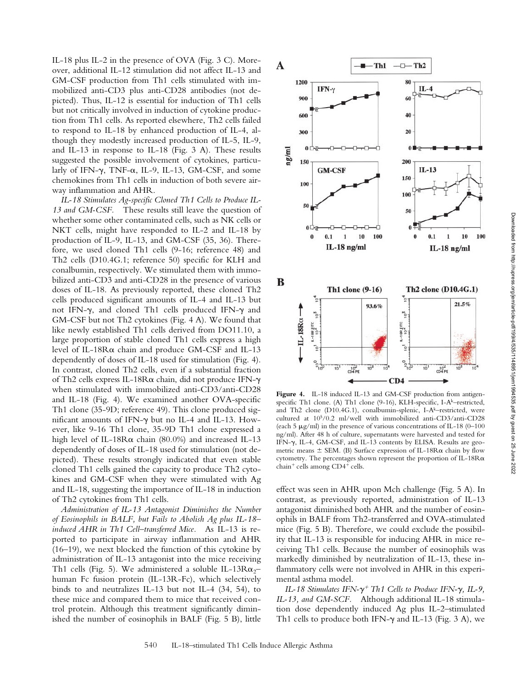IL-18 plus IL-2 in the presence of OVA (Fig. 3 C). Moreover, additional IL-12 stimulation did not affect IL-13 and GM-CSF production from Th1 cells stimulated with immobilized anti-CD3 plus anti-CD28 antibodies (not depicted). Thus, IL-12 is essential for induction of Th1 cells but not critically involved in induction of cytokine production from Th1 cells. As reported elsewhere, Th2 cells failed to respond to IL-18 by enhanced production of IL-4, although they modestly increased production of IL-5, IL-9, and IL-13 in response to IL-18 (Fig. 3 A). These results suggested the possible involvement of cytokines, particularly of IFN- $\gamma$ , TNF- $\alpha$ , IL-9, IL-13, GM-CSF, and some chemokines from Th1 cells in induction of both severe airway inflammation and AHR.

*IL-18 Stimulates Ag-specific Cloned Th1 Cells to Produce IL-13 and GM-CSF.* These results still leave the question of whether some other contaminated cells, such as NK cells or NKT cells, might have responded to IL-2 and IL-18 by production of IL-9, IL-13, and GM-CSF (35, 36). Therefore, we used cloned Th1 cells (9-16; reference 48) and Th2 cells (D10.4G.1; reference 50) specific for KLH and conalbumin, respectively. We stimulated them with immobilized anti-CD3 and anti-CD28 in the presence of various doses of IL-18. As previously reported, these cloned Th2 cells produced significant amounts of IL-4 and IL-13 but not IFN- $\gamma$ , and cloned Th1 cells produced IFN- $\gamma$  and GM-CSF but not Th2 cytokines (Fig. 4 A). We found that like newly established Th1 cells derived from DO11.10, a large proportion of stable cloned Th1 cells express a high level of IL-18 $R\alpha$  chain and produce GM-CSF and IL-13 dependently of doses of IL-18 used for stimulation (Fig. 4). In contrast, cloned Th2 cells, even if a substantial fraction of Th2 cells express IL-18Ra chain, did not produce IFN- $\gamma$ when stimulated with immobilized anti-CD3/anti-CD28 and IL-18 (Fig. 4). We examined another OVA-specific Th1 clone (35-9D; reference 49). This clone produced sig $n$ ificant amounts of IFN- $\gamma$  but no IL-4 and IL-13. However, like 9-16 Th1 clone, 35-9D Th1 clone expressed a high level of IL-18R $\alpha$  chain (80.0%) and increased IL-13 dependently of doses of IL-18 used for stimulation (not depicted). These results strongly indicated that even stable cloned Th1 cells gained the capacity to produce Th2 cytokines and GM-CSF when they were stimulated with Ag and IL-18, suggesting the importance of IL-18 in induction of Th2 cytokines from Th1 cells.

*Administration of IL-13 Antagonist Diminishes the Number of Eosinophils in BALF, but Fails to Abolish Ag plus IL-18– induced AHR in Th1 Cell–transferred Mice.* As IL-13 is reported to participate in airway inflammation and AHR (16–19), we next blocked the function of this cytokine by administration of IL-13 antagonist into the mice receiving Th1 cells (Fig. 5). We administered a soluble IL-13R $\alpha_2$ – human Fc fusion protein (IL-13R-Fc), which selectively binds to and neutralizes IL-13 but not IL-4 (34, 54), to these mice and compared them to mice that received control protein. Although this treatment significantly diminished the number of eosinophils in BALF (Fig. 5 B), little



**Figure 4.** IL-18 induced IL-13 and GM-CSF production from antigenspecific Th1 clone. (A) Th1 clone  $(9-16)$ , KLH-specific, I-A<sup>k</sup>–restricted, and Th2 clone (D10.4G.1), conalbumin-splenic, I-Ak-restricted, were cultured at 105/0.2 ml/well with immobilized anti-CD3/anti-CD28 (each 5  $\mu$ g/ml) in the presence of various concentrations of IL-18 (0–100) ng/ml). After 48 h of culture, supernatants were harvested and tested for IFN-y, IL-4, GM-CSF, and IL-13 contents by ELISA. Results are geometric means  $\pm$  SEM. (B) Surface expression of IL-18R $\alpha$  chain by flow cytometry. The percentages shown represent the proportion of IL-18R $\alpha$ chain<sup>+</sup> cells among CD4<sup>+</sup> cells.

effect was seen in AHR upon Mch challenge (Fig. 5 A). In contrast, as previously reported, administration of IL-13 antagonist diminished both AHR and the number of eosinophils in BALF from Th2-transferred and OVA-stimulated mice (Fig. 5 B). Therefore, we could exclude the possibility that IL-13 is responsible for inducing AHR in mice receiving Th1 cells. Because the number of eosinophils was markedly diminished by neutralization of IL-13, these inflammatory cells were not involved in AHR in this experimental asthma model.

*IL-18 Stimulates IFN-* $\gamma^+$  *Th1 Cells to Produce IFN-* $\gamma$ *, IL-9, IL-13, and GM-SCF.* Although additional IL-18 stimulation dose dependently induced Ag plus IL-2–stimulated Th1 cells to produce both IFN- $\gamma$  and IL-13 (Fig. 3 A), we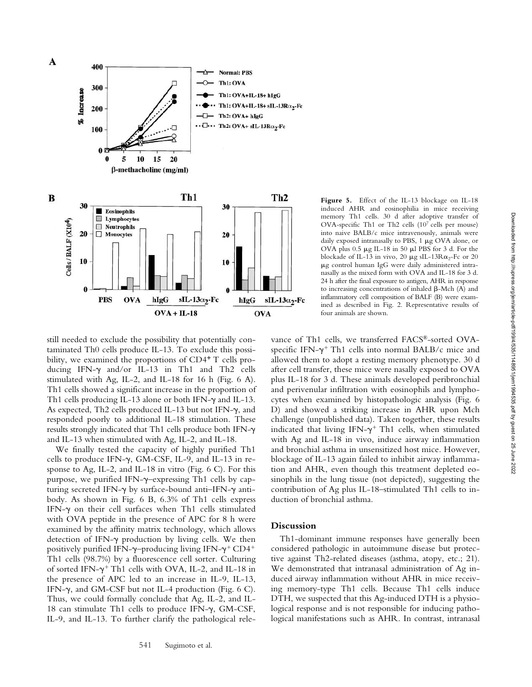

**Figure 5.** Effect of the IL-13 blockage on IL-18 induced AHR and eosinophilia in mice receiving memory Th1 cells. 30 d after adoptive transfer of OVA-specific Th1 or Th2 cells (107 cells per mouse) into naive BALB/c mice intravenously, animals were daily exposed intranasally to PBS,  $1 \mu$ g OVA alone, or OVA plus  $0.5 \mu g$  IL-18 in 50  $\mu$ l PBS for 3 d. For the blockade of IL-13 in vivo, 20  $\mu$ g sIL-13R $\alpha$ <sub>2</sub>-Fc or 20 g control human IgG were daily administered intranasally as the mixed form with OVA and IL-18 for 3 d. 24 h after the final exposure to antigen, AHR in response to increasing concentrations of inhaled  $\beta$ -Mch (A) and inflammatory cell composition of BALF (B) were examined as described in Fig. 2. Representative results of four animals are shown.

still needed to exclude the possibility that potentially contaminated Th0 cells produce IL-13. To exclude this possibility, we examined the proportions of CD4<sup>+</sup> T cells producing IFN- $\gamma$  and/or IL-13 in Th1 and Th2 cells stimulated with Ag, IL-2, and IL-18 for 16 h (Fig. 6 A). Th1 cells showed a significant increase in the proportion of Th1 cells producing IL-13 alone or both IFN- $\gamma$  and IL-13. As expected, Th2 cells produced IL-13 but not IFN- $\gamma$ , and responded poorly to additional IL-18 stimulation. These results strongly indicated that Th1 cells produce both IFN- $\gamma$ and IL-13 when stimulated with Ag, IL-2, and IL-18.

We finally tested the capacity of highly purified Th1 cells to produce IFN- $\gamma$ , GM-CSF, IL-9, and IL-13 in response to Ag, IL-2, and IL-18 in vitro (Fig. 6 C). For this purpose, we purified IFN-y-expressing Th1 cells by capturing secreted IFN- $\gamma$  by surface-bound anti-IFN- $\gamma$  antibody. As shown in Fig. 6 B, 6.3% of Th1 cells express IFN- $\gamma$  on their cell surfaces when Th1 cells stimulated with OVA peptide in the presence of APC for 8 h were examined by the affinity matrix technology, which allows detection of IFN-y production by living cells. We then positively purified IFN- $\gamma$ -producing living IFN- $\gamma^+$ CD4<sup>+</sup> Th1 cells (98.7%) by a fluorescence cell sorter. Culturing of sorted IFN- $\gamma$ <sup>+</sup> Th1 cells with OVA, IL-2, and IL-18 in the presence of APC led to an increase in IL-9, IL-13, IFN- $\gamma$ , and GM-CSF but not IL-4 production (Fig. 6 C). Thus, we could formally conclude that Ag, IL-2, and IL-18 can stimulate Th1 cells to produce IFN- $\gamma$ , GM-CSF, IL-9, and IL-13. To further clarify the pathological relevance of Th1 cells, we transferred FACS®-sorted OVAspecific IFN- $\gamma^+$  Th1 cells into normal BALB/c mice and allowed them to adopt a resting memory phenotype. 30 d after cell transfer, these mice were nasally exposed to OVA plus IL-18 for 3 d. These animals developed peribronchial and perivenular infiltration with eosinophils and lymphocytes when examined by histopathologic analysis (Fig. 6 D) and showed a striking increase in AHR upon Mch challenge (unpublished data). Taken together, these results indicated that living IFN- $\gamma^+$  Th1 cells, when stimulated with Ag and IL-18 in vivo, induce airway inflammation and bronchial asthma in unsensitized host mice. However, blockage of IL-13 again failed to inhibit airway inflammation and AHR, even though this treatment depleted eosinophils in the lung tissue (not depicted), suggesting the contribution of Ag plus IL-18–stimulated Th1 cells to induction of bronchial asthma.

# **Discussion**

Th1-dominant immune responses have generally been considered pathologic in autoimmune disease but protective against Th2-related diseases (asthma, atopy, etc.; 21). We demonstrated that intranasal administration of Ag induced airway inflammation without AHR in mice receiving memory-type Th1 cells. Because Th1 cells induce DTH, we suspected that this Ag-induced DTH is a physiological response and is not responsible for inducing pathological manifestations such as AHR. In contrast, intranasal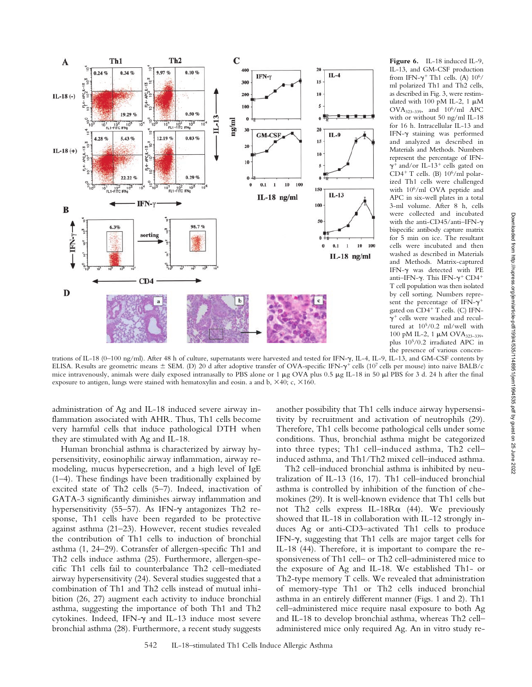

Figure 6. IL-18 induced IL-9, IL-13, and GM-CSF production from IFN- $\gamma^+$  Th1 cells. (A) 10<sup>6</sup>/ ml polarized Th1 and Th2 cells, as described in Fig. 3, were restimulated with 100 pM IL-2, 1  $\mu\text{M}$  $OVA<sub>323–339</sub>$ , and  $10<sup>6</sup>/ml$  APC with or without 50 ng/ml IL-18 for 16 h. Intracellular IL-13 and IFN- $\gamma$  staining was performed and analyzed as described in Materials and Methods. Numbers represent the percentage of IFN-  $\gamma^+$  and/or IL-13<sup>+</sup> cells gated on CD4<sup>+</sup> T cells. (B)  $10^6$ /ml polarized Th1 cells were challenged with 106/ml OVA peptide and APC in six-well plates in a total 3-ml volume. After 8 h, cells were collected and incubated with the anti-CD45/anti-IFN- $\gamma$ bispecific antibody capture matrix for 5 min on ice. The resultant cells were incubated and then washed as described in Materials and Methods. Matrix-captured IFN- $\gamma$  was detected with PE anti–IFN- $\gamma$ . This IFN- $\gamma^+$  CD4<sup>+</sup> T cell population was then isolated by cell sorting. Numbers represent the percentage of IFN- $\gamma^+$ gated on  $CD4+T$  cells. (C) IFN- $\gamma^+$  cells were washed and recultured at 105/0.2 ml/well with 100 pM IL-2, 1  $\mu$ M OVA<sub>323-339</sub>, plus 105/0.2 irradiated APC in the presence of various concen-

trations of IL-18 (0–100 ng/ml). After 48 h of culture, supernatants were harvested and tested for IFN- $\gamma$ , IL-4, IL-9, IL-13, and GM-CSF contents by ELISA. Results are geometric means ± SEM. (D) 20 d after adoptive transfer of OVA-specific IFN- $\gamma^+$  cells (10<sup>7</sup> cells per mouse) into naive BALB/c mice intravenously, animals were daily exposed intranasally to PBS alone or 1  $\mu$ g OVA plus 0.5  $\mu$ g IL-18 in 50  $\mu$ l PBS for 3 d. 24 h after the final exposure to antigen, lungs were stained with hematoxylin and eosin. a and b,  $\times$ 40; c,  $\times$ 160.

administration of Ag and IL-18 induced severe airway inflammation associated with AHR. Thus, Th1 cells become very harmful cells that induce pathological DTH when they are stimulated with Ag and IL-18.

Human bronchial asthma is characterized by airway hypersensitivity, eosinophilic airway inflammation, airway remodeling, mucus hypersecretion, and a high level of IgE (1–4). These findings have been traditionally explained by excited state of Th2 cells (5–7). Indeed, inactivation of GATA-3 significantly diminishes airway inflammation and hypersensitivity (55–57). As IFN-y antagonizes Th2 response, Th1 cells have been regarded to be protective against asthma (21–23). However, recent studies revealed the contribution of Th1 cells to induction of bronchial asthma (1, 24–29). Cotransfer of allergen-specific Th1 and Th2 cells induce asthma (25). Furthermore, allergen-specific Th1 cells fail to counterbalance Th2 cell–mediated airway hypersensitivity (24). Several studies suggested that a combination of Th1 and Th2 cells instead of mutual inhibition (26, 27) augment each activity to induce bronchial asthma, suggesting the importance of both Th1 and Th2 cytokines. Indeed, IFN- $\gamma$  and IL-13 induce most severe bronchial asthma (28). Furthermore, a recent study suggests

another possibility that Th1 cells induce airway hypersensitivity by recruitment and activation of neutrophils (29). Therefore, Th1 cells become pathological cells under some conditions. Thus, bronchial asthma might be categorized into three types; Th1 cell–induced asthma, Th2 cell– induced asthma, and Th1/Th2 mixed cell–induced asthma.

Th2 cell–induced bronchial asthma is inhibited by neutralization of IL-13 (16, 17). Th1 cell–induced bronchial asthma is controlled by inhibition of the function of chemokines (29). It is well-known evidence that Th1 cells but not Th2 cells express IL-18R $\alpha$  (44). We previously showed that IL-18 in collaboration with IL-12 strongly induces Ag or anti-CD3–activated Th1 cells to produce IFN- $\gamma$ , suggesting that Th1 cells are major target cells for IL-18 (44). Therefore, it is important to compare the responsiveness of Th1 cell– or Th2 cell–administered mice to the exposure of Ag and IL-18. We established Th1- or Th2-type memory T cells. We revealed that administration of memory-type Th1 or Th2 cells induced bronchial asthma in an entirely different manner (Figs. 1 and 2). Th1 cell–administered mice require nasal exposure to both Ag and IL-18 to develop bronchial asthma, whereas Th2 cell– administered mice only required Ag. An in vitro study re-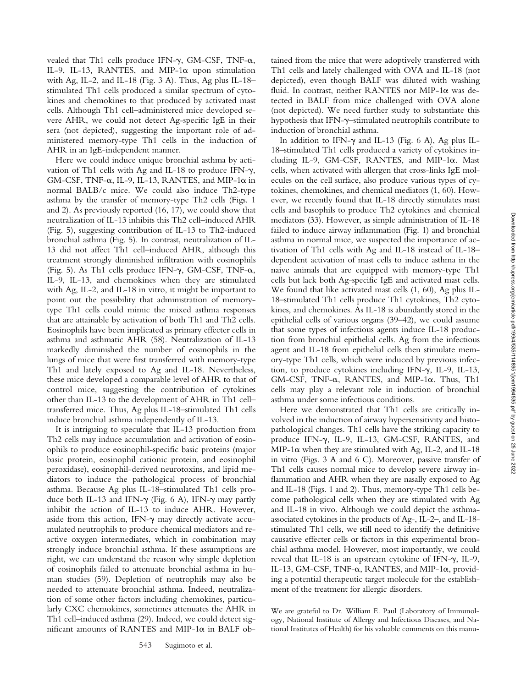vealed that Th1 cells produce IFN- $\gamma$ , GM-CSF, TNF- $\alpha$ , IL-9, IL-13, RANTES, and MIP-1 $\alpha$  upon stimulation with Ag, IL-2, and IL-18 (Fig. 3 A). Thus, Ag plus IL-18– stimulated Th1 cells produced a similar spectrum of cytokines and chemokines to that produced by activated mast cells. Although Th1 cell–administered mice developed severe AHR, we could not detect Ag-specific IgE in their sera (not depicted), suggesting the important role of administered memory-type Th1 cells in the induction of AHR in an IgE-independent manner.

Here we could induce unique bronchial asthma by activation of Th1 cells with Ag and IL-18 to produce IFN- $\gamma$ , GM-CSF, TNF- $\alpha$ , IL-9, IL-13, RANTES, and MIP-1 $\alpha$  in normal BALB/c mice. We could also induce Th2-type asthma by the transfer of memory-type Th2 cells (Figs. 1 and 2). As previously reported (16, 17), we could show that neutralization of IL-13 inhibits this Th2 cell–induced AHR (Fig. 5), suggesting contribution of IL-13 to Th2-induced bronchial asthma (Fig. 5). In contrast, neutralization of IL-13 did not affect Th1 cell–induced AHR, although this treatment strongly diminished infiltration with eosinophils (Fig. 5). As Th1 cells produce IFN- $\gamma$ , GM-CSF, TNF- $\alpha$ , IL-9, IL-13, and chemokines when they are stimulated with Ag, IL-2, and IL-18 in vitro, it might be important to point out the possibility that administration of memorytype Th1 cells could mimic the mixed asthma responses that are attainable by activation of both Th1 and Th2 cells. Eosinophils have been implicated as primary effecter cells in asthma and asthmatic AHR (58). Neutralization of IL-13 markedly diminished the number of eosinophils in the lungs of mice that were first transferred with memory-type Th1 and lately exposed to Ag and IL-18. Nevertheless, these mice developed a comparable level of AHR to that of control mice, suggesting the contribution of cytokines other than IL-13 to the development of AHR in Th1 cell– transferred mice. Thus, Ag plus IL-18–stimulated Th1 cells induce bronchial asthma independently of IL-13.

It is intriguing to speculate that IL-13 production from Th2 cells may induce accumulation and activation of eosinophils to produce eosinophil-specific basic proteins (major basic protein, eosinophil cationic protein, and eosinophil peroxidase), eosinophil-derived neurotoxins, and lipid mediators to induce the pathological process of bronchial asthma. Because Ag plus IL-18–stimulated Th1 cells produce both IL-13 and IFN- $\gamma$  (Fig. 6 A), IFN- $\gamma$  may partly inhibit the action of IL-13 to induce AHR. However, aside from this action, IFN- $\gamma$  may directly activate accumulated neutrophils to produce chemical mediators and reactive oxygen intermediates, which in combination may strongly induce bronchial asthma. If these assumptions are right, we can understand the reason why simple depletion of eosinophils failed to attenuate bronchial asthma in human studies (59). Depletion of neutrophils may also be needed to attenuate bronchial asthma. Indeed, neutralization of some other factors including chemokines, particularly CXC chemokines, sometimes attenuates the AHR in Th1 cell–induced asthma (29). Indeed, we could detect significant amounts of RANTES and MIP-1 $\alpha$  in BALF obtained from the mice that were adoptively transferred with Th1 cells and lately challenged with OVA and IL-18 (not depicted), even though BALF was diluted with washing fluid. In contrast, neither RANTES nor MIP-1 $\alpha$  was detected in BALF from mice challenged with OVA alone (not depicted). We need further study to substantiate this hypothesis that IFN-y-stimulated neutrophils contribute to induction of bronchial asthma.

In addition to IFN- $\gamma$  and IL-13 (Fig. 6 A), Ag plus IL-18–stimulated Th1 cells produced a variety of cytokines including IL-9, GM-CSF, RANTES, and MIP-1 $\alpha$ . Mast cells, when activated with allergen that cross-links IgE molecules on the cell surface, also produce various types of cytokines, chemokines, and chemical mediators (1, 60). However, we recently found that IL-18 directly stimulates mast cells and basophils to produce Th2 cytokines and chemical mediators (33). However, as simple administration of IL-18 failed to induce airway inflammation (Fig. 1) and bronchial asthma in normal mice, we suspected the importance of activation of Th1 cells with Ag and IL-18 instead of IL-18– dependent activation of mast cells to induce asthma in the naive animals that are equipped with memory-type Th1 cells but lack both Ag-specific IgE and activated mast cells. We found that like activated mast cells (1, 60), Ag plus IL-18–stimulated Th1 cells produce Th1 cytokines, Th2 cytokines, and chemokines. As IL-18 is abundantly stored in the epithelial cells of various organs (39–42), we could assume that some types of infectious agents induce IL-18 production from bronchial epithelial cells. Ag from the infectious agent and IL-18 from epithelial cells then stimulate memory-type Th1 cells, which were induced by previous infection, to produce cytokines including IFN- $\gamma$ , IL-9, IL-13,  $GM-CSF$ , TNF- $\alpha$ , RANTES, and MIP-1 $\alpha$ . Thus, Th1 cells may play a relevant role in induction of bronchial asthma under some infectious conditions.

Here we demonstrated that Th1 cells are critically involved in the induction of airway hypersensitivity and histopathological changes. Th1 cells have the striking capacity to produce IFN- $\gamma$ , IL-9, IL-13, GM-CSF, RANTES, and MIP-1 $\alpha$  when they are stimulated with Ag, IL-2, and IL-18 in vitro (Figs. 3 A and 6 C). Moreover, passive transfer of Th1 cells causes normal mice to develop severe airway inflammation and AHR when they are nasally exposed to Ag and IL-18 (Figs. 1 and 2). Thus, memory-type Th1 cells become pathological cells when they are stimulated with Ag and IL-18 in vivo. Although we could depict the asthmaassociated cytokines in the products of Ag-, IL-2–, and IL-18 stimulated Th1 cells, we still need to identify the definitive causative effecter cells or factors in this experimental bronchial asthma model. However, most importantly, we could reveal that IL-18 is an upstream cytokine of IFN- $\gamma$ , IL-9, IL-13, GM-CSF, TNF- $\alpha$ , RANTES, and MIP-1 $\alpha$ , providing a potential therapeutic target molecule for the establishment of the treatment for allergic disorders.

We are grateful to Dr. William E. Paul (Laboratory of Immunology, National Institute of Allergy and Infectious Diseases, and National Institutes of Health) for his valuable comments on this manu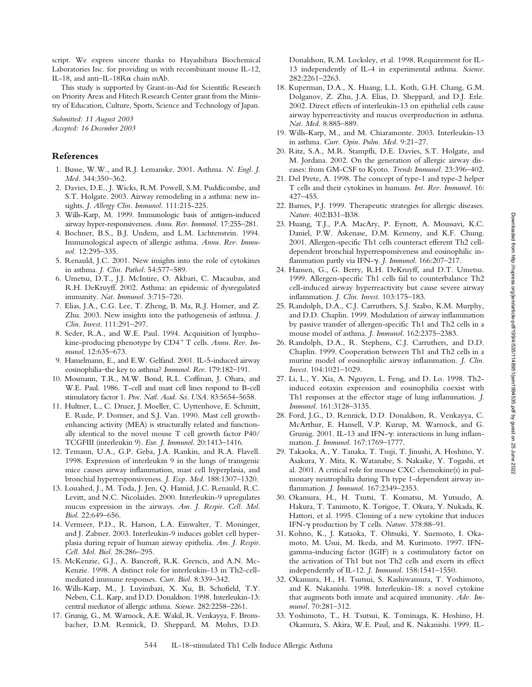script. We express sincere thanks to Hayashibara Biochemical Laboratories Inc. for providing us with recombinant mouse IL-12, IL-18, and anti-IL-18 $R\alpha$  chain mAb.

This study is supported by Grant-in-Aid for Scientific Research on Priority Areas and Hitech Research Center grant from the Ministry of Education, Culture, Sports, Science and Technology of Japan.

*Submitted: 11 August 2003 Accepted: 16 December 2003*

## **References**

- 1. Busse, W.W., and R.J. Lemanske. 2001. Asthma. *N. Engl. J. Med.* 344:350–362.
- 2. Davies, D.E., J. Wicks, R.M. Powell, S.M. Puddicombe, and S.T. Holgate. 2003. Airway remodeling in a asthma: new insights. *J. Allergy Clin. Immunol.* 111:215-225.
- 3. Wills-Karp, M. 1999. Immunologic basis of antigen-induced airway hyper-responsiveness. *Annu. Rev. Immunol.* 17:255–281.
- 4. Bochner, B.S., B.J. Undem, and L.M. Lichtenstein. 1994. Immunological aspects of allergic asthma. *Annu. Rev. Immunol.* 12:295–335.
- 5. Renauld, J.C. 2001. New insights into the role of cytokines in asthma. *J. Clin. Pathol*. 54:577–589.
- 6. Umetsu, D.T., J.J. McIntire, O. Akbari, C. Macaubas, and R.H. DeKruyff. 2002. Asthma: an epidemic of dysregulated immunity. *Nat. Immunol*. 3:715–720.
- 7. Elias, J.A., C.G. Lee, T. Zheng, B. Ma, R.J. Homer, and Z. Zhu. 2003. New insights into the pathogenesis of asthma. *J. Clin. Invest*. 111:291–297.
- 8. Seder, R.A., and W.E. Paul. 1994. Acquisition of lymphokine-producing phenotype by CD4<sup>+</sup> T cells. Annu. Rev. Im*munol*. 12:635–673.
- 9. Hamelmann, E., and E.W. Gelfand. 2001. IL-5-induced airway eosinophilia–the key to asthma? *Immunol. Rev*. 179:182–191.
- 10. Mosmann, T.R., M.W. Bond, R.L. Coffman, J. Ohara, and W.E. Paul. 1986. T-cell and mast cell lines respond to B-cell stimulatory factor 1. *Proc. Natl. Acad. Sci. USA*. 83:5654–5658.
- 11. Hultner, L., C. Druez, J. Moeller, C. Uyttenhove, E. Schmitt, E. Rude, P. Dormer, and S.J. Van. 1990. Mast cell growthenhancing activity (MEA) is structurally related and functionally identical to the novel mouse T cell growth factor P40/ TCGFIII (interleukin 9). *Eur. J. Immunol*. 20:1413–1416.
- 12. Temann, U.A., G.P. Geba, J.A. Rankin, and R.A. Flavell. 1998. Expression of interleukin 9 in the lungs of transgenic mice causes airway inflammation, mast cell hyperplasia, and bronchial hyperresponsiveness. *J. Exp. Med*. 188:1307–1320.
- 13. Louahed, J., M. Toda, J. Jen, Q. Hamid, J.C. Renauld, R.C. Levitt, and N.C. Nicolaides. 2000. Interleukin-9 upregulates mucus expression in the airways. *Am. J. Respir. Cell. Mol. Biol*. 22:649–656.
- 14. Vermeer, P.D., R. Harson, L.A. Einwalter, T. Moninger, and J. Zabner. 2003. Interleukin-9 induces goblet cell hyperplasia during repair of human airway epithelia. *Am. J. Respir. Cell. Mol. Biol*. 28:286–295.
- 15. McKenzie, G.J., A. Bancroft, R.K. Grencis, and A.N. Mc-Kenzie. 1998. A distinct role for interleukin-13 in Th2-cellmediated immune responses. *Curr. Biol*. 8:339–342.
- 16. Wills-Karp, M., J. Luyimbazi, X. Xu, B. Schofield, T.Y. Neben, C.L. Karp, and D.D. Donaldson. 1998. Interleukin-13: central mediator of allergic asthma. *Science*. 282:2258–2261.
- 17. Grunig, G., M. Warnock, A.E. Wakil, R. Venkayya, F. Brombacher, D.M. Rennick, D. Sheppard, M. Mohrs, D.D.

Donaldson, R.M. Locksley, et al. 1998. Requirement for IL-13 independently of IL-4 in experimental asthma. *Science*. 282:2261–2263.

- 18. Kuperman, D.A., X. Huang, L.L. Koth, G.H. Chang, G.M. Dolganov, Z. Zhu, J.A. Elias, D. Sheppard, and D.J. Erle. 2002. Direct effects of interleukin-13 on epithelial cells cause airway hyperreactivity and mucus overproduction in asthma. *Nat. Med*. 8:885–889.
- 19. Wills-Karp, M., and M. Chiaramonte. 2003. Interleukin-13 in asthma. *Curr. Opin. Pulm. Med*. 9:21–27.
- 20. Ritz, S.A., M.R. Stampfli, D.E. Davies, S.T. Holgate, and M. Jordana. 2002. On the generation of allergic airway diseases: from GM-CSF to Kyoto. *Trends Immunol*. 23:396–402.
- 21. Del Prete, A. 1998. The concept of type-1 and type-2 helper T cells and their cytokines in humans. *Int. Rev. Immunol*. 16: 427–455.
- 22. Barnes, P.J. 1999. Therapeutic strategies for allergic diseases. *Nature*. 402:B31–B38.
- 23. Huang, T.J., P.A. MacAry, P. Eynott, A. Moussavi, K.C. Daniel, P.W. Askenase, D.M. Kemeny, and K.F. Chung. 2001. Allergen-specific Th1 cells counteract efferent Th2 celldependent bronchial hyperresponsiveness and eosinophilic inflammation partly via IFN--. *J. Immunol*. 166:207–217.
- 24. Hansen, G., G. Berry, R.H. DeKruyff, and D.T. Umetsu. 1999. Allergen-specific Th1 cells fail to counterbalance Th2 cell-induced airway hyperreactivity but cause severe airway inflammation. *J. Clin. Invest*. 103:175–183.
- 25. Randolph, D.A., C.J. Carruthers, S.J. Szabo, K.M. Murphy, and D.D. Chaplin. 1999. Modulation of airway inflammation by passive transfer of allergen-specific Th1 and Th2 cells in a mouse model of asthma. *J. Immunol*. 162:2375–2383.
- 26. Randolph, D.A., R. Stephens, C.J. Carruthers, and D.D. Chaplin. 1999. Cooperation between Th1 and Th2 cells in a murine model of eosinophilic airway inflammation. *J. Clin. Invest*. 104:1021–1029.
- 27. Li, L., Y. Xia, A. Nguyen, L. Feng, and D. Lo. 1998. Th2 induced eotaxin expression and eosinophilia coexist with Th1 responses at the effector stage of lung inflammation. *J. Immunol*. 161:3128–3135.
- 28. Ford, J.G., D. Rennick, D.D. Donaldson, R. Venkayya, C. McArthur, E. Hansell, V.P. Kurup, M. Warnock, and G. Grunig. 2001. IL-13 and IFN-y: interactions in lung inflammation. *J. Immunol*. 167:1769–1777.
- 29. Takaoka, A., Y. Tanaka, T. Tsuji, T. Jinushi, A. Hoshino, Y. Asakura, Y. Mita, K. Watanabe, S. Nakaike, Y. Togashi, et al. 2001. A critical role for mouse CXC chemokine(s) in pulmonary neutrophilia during Th type 1-dependent airway inflammation. *J. Immunol*. 167:2349–2353.
- 30. Okamura, H., H. Tsutsi, T. Komatsu, M. Yutsudo, A. Hakura, T. Tanimoto, K. Torigoe, T. Okura, Y. Nukada, K. Hattori, et al. 1995. Cloning of a new cytokine that induces IFN- $\gamma$  production by T cells. Nature. 378:88-91.
- 31. Kohno, K., J. Kataoka, T. Ohtsuki, Y. Suemoto, I. Okamoto, M. Usui, M. Ikeda, and M. Kurimoto. 1997. IFNgamma-inducing factor (IGIF) is a costimulatory factor on the activation of Th1 but not Th2 cells and exerts its effect independently of IL-12. *J. Immunol*. 158:1541–1550.
- 32. Okamura, H., H. Tsutsui, S. Kashiwamura, T. Yoshimoto, and K. Nakanishi. 1998. Interleukin-18: a novel cytokine that augments both innate and acquired immunity. *Adv. Immunol*. 70:281–312.
- 33. Yoshimoto, T., H. Tsutsui, K. Tominaga, K. Hoshino, H. Okamura, S. Akira, W.E. Paul, and K. Nakanishi. 1999. IL-